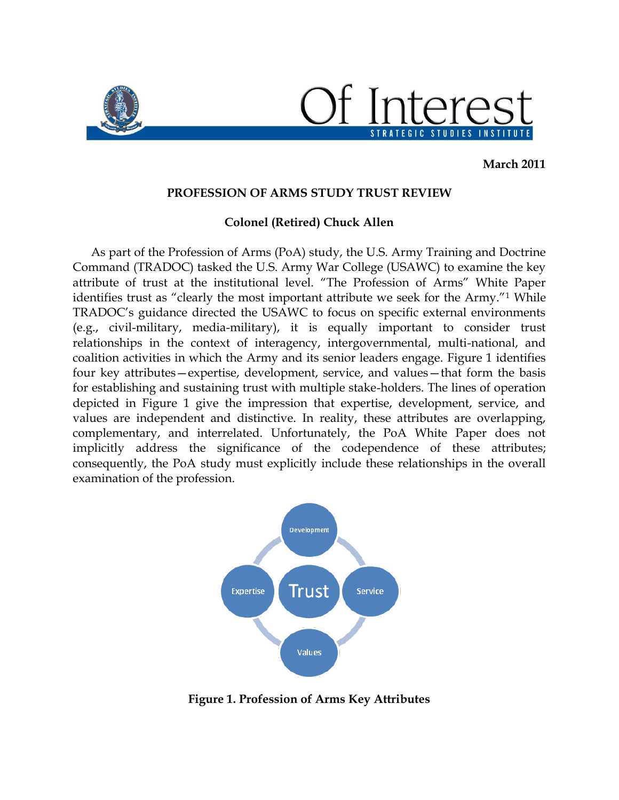

**March 2011**

## **PROFESSION OF ARMS STUDY TRUST REVIEW**

## **Colonel (Retired) Chuck Allen**

As part of the Profession of Arms (PoA) study, the U.S. Army Training and Doctrine Command (TRADOC) tasked the U.S. Army War College (USAWC) to examine the key attribute of trust at the institutional level. "The Profession of Arms" White Paper identifies trust as "clearly the most important attribute we seek for the Army."<sup>1</sup> While TRADOC's guidance directed the USAWC to focus on specific external environments (e.g., civil-military, media-military), it is equally important to consider trust relationships in the context of interagency, intergovernmental, multi-national, and coalition activities in which the Army and its senior leaders engage. Figure 1 identifies four key attributes—expertise, development, service, and values—that form the basis for establishing and sustaining trust with multiple stake-holders. The lines of operation depicted in Figure 1 give the impression that expertise, development, service, and values are independent and distinctive. In reality, these attributes are overlapping, complementary, and interrelated. Unfortunately, the PoA White Paper does not implicitly address the significance of the codependence of these attributes; consequently, the PoA study must explicitly include these relationships in the overall examination of the profession.



**Figure 1. Profession of Arms Key Attributes**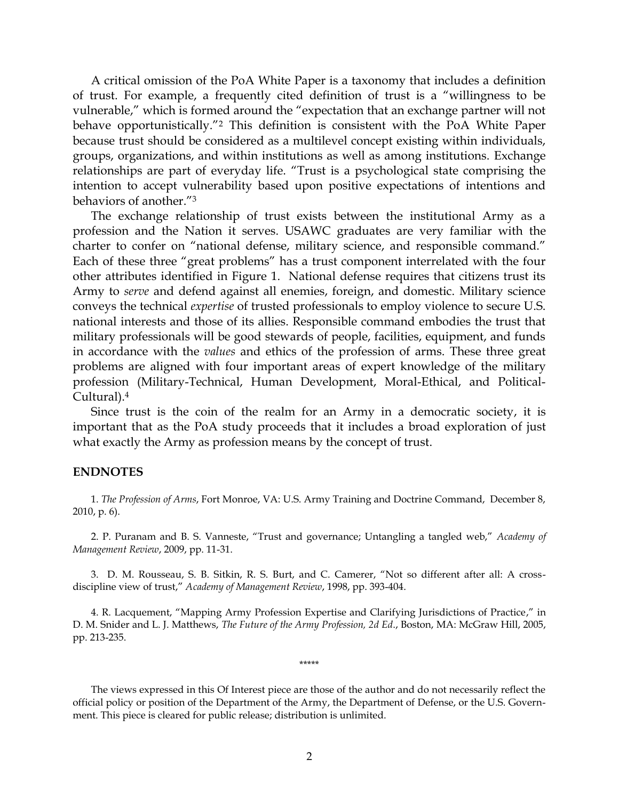A critical omission of the PoA White Paper is a taxonomy that includes a definition of trust. For example, a frequently cited definition of trust is a "willingness to be vulnerable," which is formed around the "expectation that an exchange partner will not behave opportunistically."<sup>2</sup> This definition is consistent with the PoA White Paper because trust should be considered as a multilevel concept existing within individuals, groups, organizations, and within institutions as well as among institutions. Exchange relationships are part of everyday life. "Trust is a psychological state comprising the intention to accept vulnerability based upon positive expectations of intentions and behaviors of another."<sup>3</sup>

The exchange relationship of trust exists between the institutional Army as a profession and the Nation it serves. USAWC graduates are very familiar with the charter to confer on "national defense, military science, and responsible command." Each of these three "great problems" has a trust component interrelated with the four other attributes identified in Figure 1. National defense requires that citizens trust its Army to *serve* and defend against all enemies, foreign, and domestic. Military science conveys the technical *expertise* of trusted professionals to employ violence to secure U.S. national interests and those of its allies. Responsible command embodies the trust that military professionals will be good stewards of people, facilities, equipment, and funds in accordance with the *values* and ethics of the profession of arms. These three great problems are aligned with four important areas of expert knowledge of the military profession (Military-Technical, Human Development, Moral-Ethical, and Political-Cultural).<sup>4</sup>

Since trust is the coin of the realm for an Army in a democratic society, it is important that as the PoA study proceeds that it includes a broad exploration of just what exactly the Army as profession means by the concept of trust.

## **ENDNOTES**

1. *The Profession of Arms*, Fort Monroe, VA: U.S. Army Training and Doctrine Command, December 8, 2010, p. 6).

2. P. Puranam and B. S. Vanneste, "Trust and governance; Untangling a tangled web," *Academy of Management Review*, 2009, pp. 11-31.

3. D. M. Rousseau, S. B. Sitkin, R. S. Burt, and C. Camerer, "Not so different after all: A crossdiscipline view of trust," *Academy of Management Review*, 1998, pp. 393-404.

4. R. Lacquement, "Mapping Army Profession Expertise and Clarifying Jurisdictions of Practice," in D. M. Snider and L. J. Matthews, *The Future of the Army Profession, 2d Ed*., Boston, MA: McGraw Hill, 2005, pp. 213-235.

\*\*\*\*\*

The views expressed in this Of Interest piece are those of the author and do not necessarily reflect the official policy or position of the Department of the Army, the Department of Defense, or the U.S. Government. This piece is cleared for public release; distribution is unlimited.